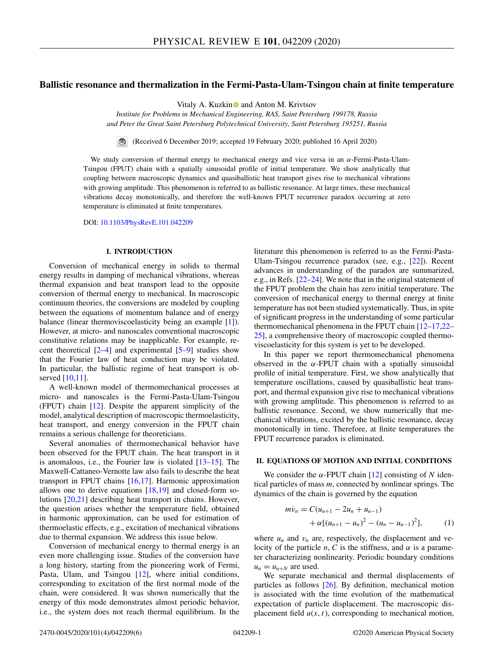# **Ballistic resonance and thermalization in the Fermi-Pasta-Ulam-Tsingou chain at finite temperature**

Vitaly A. Kuzki[n](https://orcid.org/0000-0003-0484-0106)<sup>o</sup> and Anton M. Krivtsov

*Institute for Problems in Mechanical Engineering, RAS, Saint Petersburg 199178, Russia and Peter the Great Saint Petersburg Polytechnical University, Saint Petersburg 195251, Russia*

(Received 6 December 2019; accepted 19 February 2020; published 16 April 2020)

We study conversion of thermal energy to mechanical energy and vice versa in an  $\alpha$ -Fermi-Pasta-Ulam-Tsingou (FPUT) chain with a spatially sinusoidal profile of initial temperature. We show analytically that coupling between macroscopic dynamics and quasiballistic heat transport gives rise to mechanical vibrations with growing amplitude. This phenomenon is referred to as ballistic resonance. At large times, these mechanical vibrations decay monotonically, and therefore the well-known FPUT recurrence paradox occurring at zero temperature is eliminated at finite temperatures.

DOI: [10.1103/PhysRevE.101.042209](https://doi.org/10.1103/PhysRevE.101.042209)

## **I. INTRODUCTION**

Conversion of mechanical energy in solids to thermal energy results in damping of mechanical vibrations, whereas thermal expansion and heat transport lead to the opposite conversion of thermal energy to mechanical. In macroscopic continuum theories, the conversions are modeled by coupling between the equations of momentum balance and of energy balance (linear thermoviscoelasticity being an example [\[1\]](#page-4-0)). However, at micro- and nanoscales conventional macroscopic constitutive relations may be inapplicable. For example, recent theoretical  $[2-4]$  and experimental  $[5-9]$  $[5-9]$  studies show that the Fourier law of heat conduction may be violated. In particular, the ballistic regime of heat transport is observed [\[10,11\]](#page-5-0).

A well-known model of thermomechanical processes at micro- and nanoscales is the Fermi-Pasta-Ulam-Tsingou (FPUT) chain [\[12\]](#page-5-0). Despite the apparent simplicity of the model, analytical description of macroscopic thermoelasticity, heat transport, and energy conversion in the FPUT chain remains a serious challenge for theoreticians.

Several anomalies of thermomechanical behavior have been observed for the FPUT chain. The heat transport in it is anomalous, i.e., the Fourier law is violated [\[13–15\]](#page-5-0). The Maxwell-Cattaneo-Vernotte law also fails to describe the heat transport in FPUT chains [\[16,17\]](#page-5-0). Harmonic approximation allows one to derive equations  $[18,19]$  and closed-form solutions [\[20,21\]](#page-5-0) describing heat transport in chains. However, the question arises whether the temperature field, obtained in harmonic approximation, can be used for estimation of thermoelastic effects, e.g., excitation of mechanical vibrations due to thermal expansion. We address this issue below.

Conversion of mechanical energy to thermal energy is an even more challenging issue. Studies of the conversion have a long history, starting from the pioneering work of Fermi, Pasta, Ulam, and Tsingou  $[12]$ , where initial conditions, corresponding to excitation of the first normal mode of the chain, were considered. It was shown numerically that the energy of this mode demonstrates almost periodic behavior, i.e., the system does not reach thermal equilibrium. In the

literature this phenomenon is referred to as the Fermi-Pasta-Ulam-Tsingou recurrence paradox (see, e.g., [\[22\]](#page-5-0)). Recent advances in understanding of the paradox are summarized, e.g., in Refs. [\[22–24\]](#page-5-0). We note that in the original statement of the FPUT problem the chain has zero initial temperature. The conversion of mechanical energy to thermal energy at finite temperature has not been studied systematically. Thus, in spite of significant progress in the understanding of some particular thermomechanical phenomena in the FPUT chain [\[12–17,22–](#page-5-0) [25\]](#page-5-0), a comprehensive theory of macroscopic coupled thermoviscoelasticity for this system is yet to be developed.

In this paper we report thermomechanical phenomena observed in the  $\alpha$ -FPUT chain with a spatially sinusoidal profile of initial temperature. First, we show analytically that temperature oscillations, caused by quasiballistic heat transport, and thermal expansion give rise to mechanical vibrations with growing amplitude. This phenomenon is referred to as ballistic resonance. Second, we show numerically that mechanical vibrations, excited by the ballistic resonance, decay monotonically in time. Therefore, at finite temperatures the FPUT recurrence paradox is eliminated.

### **II. EQUATIONS OF MOTION AND INITIAL CONDITIONS**

We consider the  $\alpha$ -FPUT chain [\[12\]](#page-5-0) consisting of *N* identical particles of mass *m*, connected by nonlinear springs. The dynamics of the chain is governed by the equation

$$
m\dot{v}_n = C(u_{n+1} - 2u_n + u_{n-1})
$$
  
+  $\alpha [(u_{n+1} - u_n)^2 - (u_n - u_{n-1})^2]$ , (1)

where  $u_n$  and  $v_n$  are, respectively, the displacement and velocity of the particle *n*, *C* is the stiffness, and  $\alpha$  is a parameter characterizing nonlinearity. Periodic boundary conditions  $u_n = u_{n+N}$  are used.

We separate mechanical and thermal displacements of particles as follows [\[26\]](#page-5-0). By definition, mechanical motion is associated with the time evolution of the mathematical expectation of particle displacement. The macroscopic displacement field  $u(x, t)$ , corresponding to mechanical motion,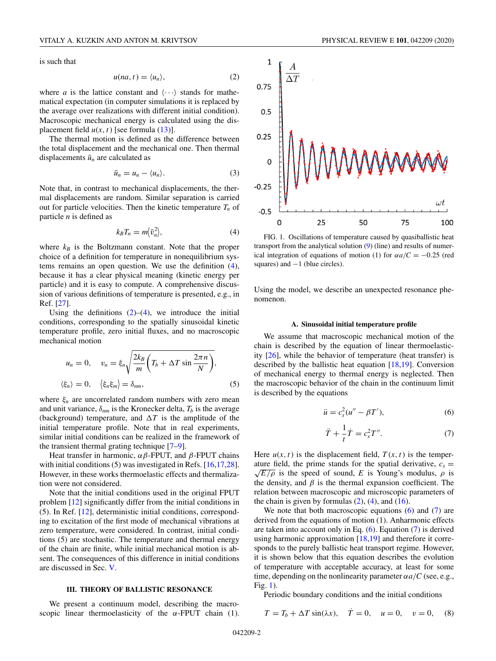<span id="page-1-0"></span>is such that

$$
u(na, t) = \langle u_n \rangle, \tag{2}
$$

where *a* is the lattice constant and  $\langle \cdots \rangle$  stands for mathematical expectation (in computer simulations it is replaced by the average over realizations with different initial condition). Macroscopic mechanical energy is calculated using the displacement field  $u(x, t)$  [see formula [\(13\)](#page-2-0)].

The thermal motion is defined as the difference between the total displacement and the mechanical one. Then thermal displacements  $\tilde{u}_n$  are calculated as

$$
\tilde{u}_n = u_n - \langle u_n \rangle. \tag{3}
$$

Note that, in contrast to mechanical displacements, the thermal displacements are random. Similar separation is carried out for particle velocities. Then the kinetic temperature  $T_n$  of particle *n* is defined as

$$
k_B T_n = m \langle \tilde{v}_n^2 \rangle, \tag{4}
$$

where  $k_B$  is the Boltzmann constant. Note that the proper choice of a definition for temperature in nonequilibrium systems remains an open question. We use the definition (4), because it has a clear physical meaning (kinetic energy per particle) and it is easy to compute. A comprehensive discussion of various definitions of temperature is presented, e.g., in Ref. [\[27\]](#page-5-0).

Using the definitions  $(2)$ – $(4)$ , we introduce the initial conditions, corresponding to the spatially sinusoidal kinetic temperature profile, zero initial fluxes, and no macroscopic mechanical motion

$$
u_n = 0, \quad v_n = \xi_n \sqrt{\frac{2k_B}{m} \left( T_b + \Delta T \sin \frac{2\pi n}{N} \right)},
$$
  

$$
\langle \xi_n \rangle = 0, \quad \langle \xi_n \xi_m \rangle = \delta_{nm},
$$
 (5)

where  $\xi_n$  are uncorrelated random numbers with zero mean and unit variance,  $\delta_{nm}$  is the Kronecker delta,  $T_b$  is the average (background) temperature, and  $\Delta T$  is the amplitude of the initial temperature profile. Note that in real experiments, similar initial conditions can be realized in the framework of the transient thermal grating technique [\[7](#page-4-0)[–9\]](#page-5-0).

Heat transfer in harmonic,  $\alpha \beta$ -FPUT, and  $\beta$ -FPUT chains with initial conditions (5) was investigated in Refs. [\[16,17,28\]](#page-5-0). However, in these works thermoelastic effects and thermalization were not considered.

Note that the initial conditions used in the original FPUT problem [\[12\]](#page-5-0) significantly differ from the initial conditions in (5). In Ref. [\[12\]](#page-5-0), deterministic initial conditions, corresponding to excitation of the first mode of mechanical vibrations at zero temperature, were considered. In contrast, initial conditions (5) are stochastic. The temperature and thermal energy of the chain are finite, while initial mechanical motion is absent. The consequences of this difference in initial conditions are discussed in Sec. [V.](#page-3-0)

## **III. THEORY OF BALLISTIC RESONANCE**

We present a continuum model, describing the macroscopic linear thermoelasticity of the  $\alpha$ -FPUT chain (1).

0  $-0.25$  $\omega t$  $-0.5$ 25 50 75 100 C FIG. 1. Oscillations of temperature caused by quasiballistic heat

transport from the analytical solution  $(9)$  (line) and results of numerical integration of equations of motion (1) for  $\alpha a/C = -0.25$  (red squares) and  $-1$  (blue circles).

Using the model, we describe an unexpected resonance phenomenon.

### **A. Sinusoidal initial temperature profile**

We assume that macroscopic mechanical motion of the chain is described by the equation of linear thermoelasticity [\[26\]](#page-5-0), while the behavior of temperature (heat transfer) is described by the ballistic heat equation [\[18,19\]](#page-5-0). Conversion of mechanical energy to thermal energy is neglected. Then the macroscopic behavior of the chain in the continuum limit is described by the equations

$$
\ddot{u} = c_s^2 (u'' - \beta T'),\tag{6}
$$

$$
\ddot{T} + \frac{1}{t}\dot{T} = c_s^2 T''.
$$
\n(7)

Here  $u(x, t)$  is the displacement field,  $T(x, t)$  is the temper- $\sqrt{E/\rho}$  is the speed of sound, *E* is Young's modulus,  $\rho$  is ature field, the prime stands for the spatial derivative,  $c_s$  = the density, and  $\beta$  is the thermal expansion coefficient. The relation between macroscopic and microscopic parameters of the chain is given by formulas  $(2)$ ,  $(4)$ , and  $(16)$ .

We note that both macroscopic equations  $(6)$  and  $(7)$  are derived from the equations of motion (1). Anharmonic effects are taken into account only in Eq. (6). Equation (7) is derived using harmonic approximation [\[18,19\]](#page-5-0) and therefore it corresponds to the purely ballistic heat transport regime. However, it is shown below that this equation describes the evolution of temperature with acceptable accuracy, at least for some time, depending on the nonlinearity parameter  $\alpha a/C$  (see, e.g., Fig. 1).

Periodic boundary conditions and the initial conditions

$$
T = T_b + \Delta T \sin(\lambda x), \quad \dot{T} = 0, \quad u = 0, \quad v = 0,
$$
 (8)

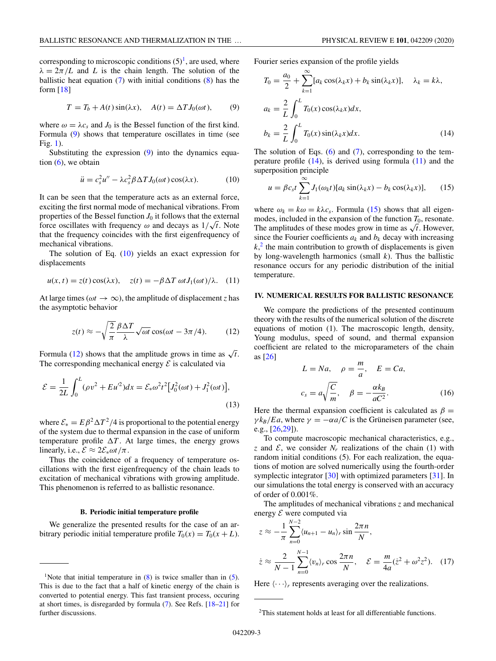<span id="page-2-0"></span>corresponding to microscopic conditions  $(5)^1$ , are used, where  $\lambda = 2\pi/L$  and *L* is the chain length. The solution of the ballistic heat equation  $(7)$  with initial conditions  $(8)$  has the form [\[18\]](#page-5-0)

$$
T = T_b + A(t)\sin(\lambda x), \quad A(t) = \Delta T J_0(\omega t), \tag{9}
$$

where  $\omega = \lambda c_s$  and  $J_0$  is the Bessel function of the first kind. Formula (9) shows that temperature oscillates in time (see Fig. [1\)](#page-1-0).

Substituting the expression (9) into the dynamics equation  $(6)$ , we obtain

$$
\ddot{u} = c_s^2 u'' - \lambda c_s^2 \beta \Delta T J_0(\omega t) \cos(\lambda x). \tag{10}
$$

It can be seen that the temperature acts as an external force, exciting the first normal mode of mechanical vibrations. From properties of the Bessel function  $J_0$  it follows that the external force oscillates with frequency  $\omega$  and decays as  $1/\sqrt{t}$ . Note that the frequency coincides with the first eigenfrequency of mechanical vibrations.

The solution of Eq. (10) yields an exact expression for displacements

$$
u(x, t) = z(t)\cos(\lambda x), \quad z(t) = -\beta \Delta T \omega t J_1(\omega t) / \lambda. \quad (11)
$$

At large times ( $\omega t \rightarrow \infty$ ), the amplitude of displacement *z* has the asymptotic behavior

$$
z(t) \approx -\sqrt{\frac{2}{\pi}} \frac{\beta \Delta T}{\lambda} \sqrt{\omega t} \cos(\omega t - 3\pi/4). \tag{12}
$$

Formula (12) shows that the amplitude grows in time as  $\sqrt{t}$ . The corresponding mechanical energy  $\mathcal E$  is calculated via

$$
\mathcal{E} = \frac{1}{2L} \int_0^L (\rho v^2 + E u'^2) dx = \mathcal{E}_* \omega^2 t^2 [J_0^2(\omega t) + J_1^2(\omega t)],
$$
\n(13)

where  $\mathcal{E}_* = E \beta^2 \Delta T^2 / 4$  is proportional to the potential energy of the system due to thermal expansion in the case of uniform temperature profile  $\Delta T$ . At large times, the energy grows linearly, i.e.,  $\mathcal{E} \approx 2\mathcal{E}_{*} \omega t / \pi$ .

Thus the coincidence of a frequency of temperature oscillations with the first eigenfrequency of the chain leads to excitation of mechanical vibrations with growing amplitude. This phenomenon is referred to as ballistic resonance.

### **B. Periodic initial temperature profile**

We generalize the presented results for the case of an arbitrary periodic initial temperature profile  $T_0(x) = T_0(x + L)$ . Fourier series expansion of the profile yields

$$
T_0 = \frac{a_0}{2} + \sum_{k=1}^{\infty} [a_k \cos(\lambda_k x) + b_k \sin(\lambda_k x)], \quad \lambda_k = k\lambda,
$$
  

$$
a_k = \frac{2}{L} \int_0^L T_0(x) \cos(\lambda_k x) dx,
$$
  

$$
b_k = \frac{2}{L} \int_0^L T_0(x) \sin(\lambda_k x) dx.
$$
 (14)

The solution of Eqs.  $(6)$  and  $(7)$ , corresponding to the temperature profile  $(14)$ , is derived using formula  $(11)$  and the superposition principle

$$
u = \beta c_s t \sum_{k=1}^{\infty} J_1(\omega_k t) [a_k \sin(\lambda_k x) - b_k \cos(\lambda_k x)], \qquad (15)
$$

where  $\omega_k = k\omega = k\lambda c_s$ . Formula (15) shows that all eigenmodes, included in the expansion of the function  $T_0$ , resonate. The amplitudes of these modes grow in time as  $\sqrt{t}$ . However, since the Fourier coefficients  $a_k$  and  $b_k$  decay with increasing  $k<sub>1</sub><sup>2</sup>$  the main contribution to growth of displacements is given by long-wavelength harmonics (small *k*). Thus the ballistic resonance occurs for any periodic distribution of the initial temperature.

## **IV. NUMERICAL RESULTS FOR BALLISTIC RESONANCE**

We compare the predictions of the presented continuum theory with the results of the numerical solution of the discrete equations of motion (1). The macroscopic length, density, Young modulus, speed of sound, and thermal expansion coefficient are related to the microparameters of the chain as [\[26\]](#page-5-0)

$$
L = Na, \quad \rho = \frac{m}{a}, \quad E = Ca,
$$
  

$$
c_s = a \sqrt{\frac{C}{m}}, \quad \beta = -\frac{\alpha k_B}{aC^2}.
$$
 (16)

Here the thermal expansion coefficient is calculated as  $\beta =$  $\gamma k_B/Ea$ , where  $\gamma = -\alpha a/C$  is the Grüneisen parameter (see, e.g., [\[26,29\]](#page-5-0)).

To compute macroscopic mechanical characteristics, e.g., *z* and  $\mathcal{E}$ , we consider  $N_r$  realizations of the chain (1) with random initial conditions (5). For each realization, the equations of motion are solved numerically using the fourth-order symplectic integrator [\[30\]](#page-5-0) with optimized parameters [\[31\]](#page-5-0). In our simulations the total energy is conserved with an accuracy of order of 0.001%.

The amplitudes of mechanical vibrations *z* and mechanical energy  $\mathcal E$  were computed via

$$
z \approx -\frac{1}{\pi} \sum_{n=0}^{N-2} \langle u_{n+1} - u_n \rangle_r \sin \frac{2\pi n}{N},
$$
  

$$
\dot{z} \approx \frac{2}{N-1} \sum_{n=0}^{N-1} \langle v_n \rangle_r \cos \frac{2\pi n}{N}, \quad \mathcal{E} = \frac{m}{4a} (\dot{z}^2 + \omega^2 z^2). \quad (17)
$$

Here  $\langle \cdots \rangle_r$  represents averaging over the realizations.

<sup>&</sup>lt;sup>1</sup>Note that initial temperature in  $(8)$  is twice smaller than in  $(5)$ . This is due to the fact that a half of kinetic energy of the chain is converted to potential energy. This fast transient process, occuring at short times, is disregarded by formula [\(7\)](#page-1-0). See Refs. [\[18–21\]](#page-5-0) for further discussions.

<sup>2</sup>This statement holds at least for all differentiable functions.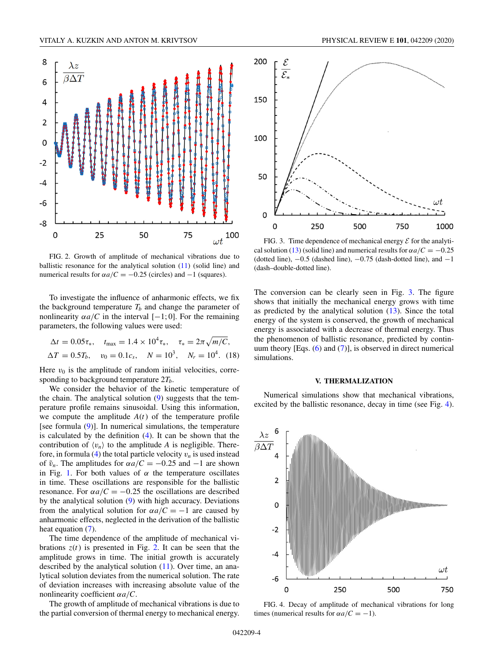<span id="page-3-0"></span>

FIG. 2. Growth of amplitude of mechanical vibrations due to ballistic resonance for the analytical solution  $(11)$  (solid line) and numerical results for  $\alpha a/C = -0.25$  (circles) and  $-1$  (squares).

To investigate the influence of anharmonic effects, we fix the background temperature  $T_b$  and change the parameter of nonlinearity  $\alpha a/C$  in the interval  $[-1, 0]$ . For the remaining parameters, the following values were used:

$$
\Delta t = 0.05\tau_*, \quad t_{\text{max}} = 1.4 \times 10^4 \tau_*, \quad \tau_* = 2\pi \sqrt{m/C},
$$
  

$$
\Delta T = 0.5T_b, \quad v_0 = 0.1c_s, \quad N = 10^3, \quad N_r = 10^4. \tag{18}
$$

Here  $v_0$  is the amplitude of random initial velocities, corresponding to background temperature  $2T_b$ .

We consider the behavior of the kinetic temperature of the chain. The analytical solution  $(9)$  suggests that the temperature profile remains sinusoidal. Using this information, we compute the amplitude  $A(t)$  of the temperature profile [see formula  $(9)$ ]. In numerical simulations, the temperature is calculated by the definition [\(4\)](#page-1-0). It can be shown that the contribution of  $\langle v_n \rangle$  to the amplitude *A* is negligible. There-fore, in formula [\(4\)](#page-1-0) the total particle velocity  $v_n$  is used instead of  $\tilde{v}_n$ . The amplitudes for  $\alpha a/C = -0.25$  and  $-1$  are shown in Fig. [1.](#page-1-0) For both values of  $\alpha$  the temperature oscillates in time. These oscillations are responsible for the ballistic resonance. For  $\alpha a/C = -0.25$  the oscillations are described by the analytical solution [\(9\)](#page-2-0) with high accuracy. Deviations from the analytical solution for  $\alpha a/C = -1$  are caused by anharmonic effects, neglected in the derivation of the ballistic heat equation [\(7\)](#page-1-0).

The time dependence of the amplitude of mechanical vibrations  $z(t)$  is presented in Fig. 2. It can be seen that the amplitude grows in time. The initial growth is accurately described by the analytical solution [\(11\)](#page-2-0). Over time, an analytical solution deviates from the numerical solution. The rate of deviation increases with increasing absolute value of the nonlinearity coefficient α*a*/*C*.

The growth of amplitude of mechanical vibrations is due to the partial conversion of thermal energy to mechanical energy.



FIG. 3. Time dependence of mechanical energy  $\mathcal E$  for the analyti-cal solution [\(13\)](#page-2-0) (solid line) and numerical results for  $\alpha a/C = -0.25$ (dotted line),  $-0.5$  (dashed line),  $-0.75$  (dash-dotted line), and  $-1$ (dash–double-dotted line).

The conversion can be clearly seen in Fig. 3. The figure shows that initially the mechanical energy grows with time as predicted by the analytical solution [\(13\)](#page-2-0). Since the total energy of the system is conserved, the growth of mechanical energy is associated with a decrease of thermal energy. Thus the phenomenon of ballistic resonance, predicted by continuum theory [Eqs.  $(6)$  and  $(7)$ ], is observed in direct numerical simulations.

### **V. THERMALIZATION**

Numerical simulations show that mechanical vibrations, excited by the ballistic resonance, decay in time (see Fig. 4).



FIG. 4. Decay of amplitude of mechanical vibrations for long times (numerical results for  $\alpha a/C = -1$ ).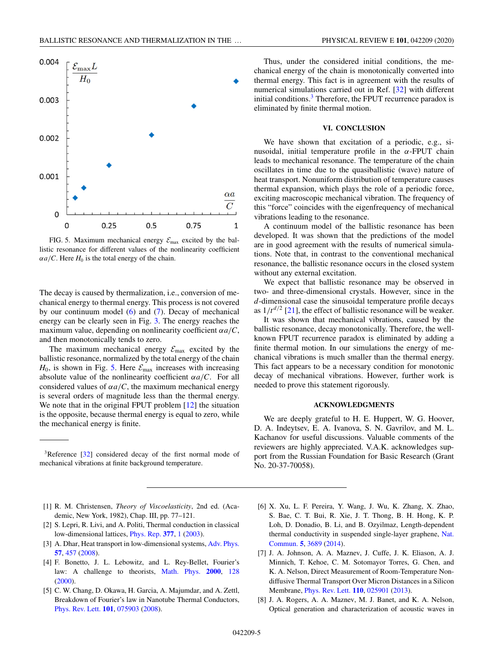<span id="page-4-0"></span>

FIG. 5. Maximum mechanical energy  $\mathcal{E}_{\text{max}}$  excited by the ballistic resonance for different values of the nonlinearity coefficient  $\alpha a/C$ . Here  $H_0$  is the total energy of the chain.

The decay is caused by thermalization, i.e., conversion of mechanical energy to thermal energy. This process is not covered by our continuum model  $(6)$  and  $(7)$ . Decay of mechanical energy can be clearly seen in Fig. [3.](#page-3-0) The energy reaches the maximum value, depending on nonlinearity coefficient  $\alpha a/C$ , and then monotonically tends to zero.

The maximum mechanical energy  $\mathcal{E}_{\text{max}}$  excited by the ballistic resonance, normalized by the total energy of the chain  $H_0$ , is shown in Fig. 5. Here  $\mathcal{E}_{\text{max}}$  increases with increasing absolute value of the nonlinearity coefficient α*a*/*C*. For all considered values of  $\alpha a/C$ , the maximum mechanical energy is several orders of magnitude less than the thermal energy. We note that in the original FPUT problem [\[12\]](#page-5-0) the situation is the opposite, because thermal energy is equal to zero, while the mechanical energy is finite.

<sup>3</sup>Reference [\[32\]](#page-5-0) considered decay of the first normal mode of mechanical vibrations at finite background temperature.

Thus, under the considered initial conditions, the mechanical energy of the chain is monotonically converted into thermal energy. This fact is in agreement with the results of numerical simulations carried out in Ref. [\[32\]](#page-5-0) with different initial conditions.<sup>3</sup> Therefore, the FPUT recurrence paradox is eliminated by finite thermal motion.

## **VI. CONCLUSION**

We have shown that excitation of a periodic, e.g., sinusoidal, initial temperature profile in the  $\alpha$ -FPUT chain leads to mechanical resonance. The temperature of the chain oscillates in time due to the quasiballistic (wave) nature of heat transport. Nonuniform distribution of temperature causes thermal expansion, which plays the role of a periodic force, exciting macroscopic mechanical vibration. The frequency of this "force" coincides with the eigenfrequency of mechanical vibrations leading to the resonance.

A continuum model of the ballistic resonance has been developed. It was shown that the predictions of the model are in good agreement with the results of numerical simulations. Note that, in contrast to the conventional mechanical resonance, the ballistic resonance occurs in the closed system without any external excitation.

We expect that ballistic resonance may be observed in two- and three-dimensional crystals. However, since in the *d*-dimensional case the sinusoidal temperature profile decays as  $1/t^{d/2}$  [\[21\]](#page-5-0), the effect of ballistic resonance will be weaker.

It was shown that mechanical vibrations, caused by the ballistic resonance, decay monotonically. Therefore, the wellknown FPUT recurrence paradox is eliminated by adding a finite thermal motion. In our simulations the energy of mechanical vibrations is much smaller than the thermal energy. This fact appears to be a necessary condition for monotonic decay of mechanical vibrations. However, further work is needed to prove this statement rigorously.

### **ACKNOWLEDGMENTS**

We are deeply grateful to H. E. Huppert, W. G. Hoover, D. A. Indeytsev, E. A. Ivanova, S. N. Gavrilov, and M. L. Kachanov for useful discussions. Valuable comments of the reviewers are highly appreciated. V.A.K. acknowledges support from the Russian Foundation for Basic Research (Grant No. 20-37-70058).

- [1] R. M. Christensen, *Theory of Viscoelasticity*, 2nd ed. (Academic, New York, 1982), Chap. III, pp. 77–121.
- [2] S. Lepri, R. Livi, and A. Politi, Thermal conduction in classical low-dimensional lattices, [Phys. Rep.](https://doi.org/10.1016/S0370-1573(02)00558-6) **[377](https://doi.org/10.1016/S0370-1573(02)00558-6)**, [1](https://doi.org/10.1016/S0370-1573(02)00558-6) [\(2003\)](https://doi.org/10.1016/S0370-1573(02)00558-6).
- [3] A. Dhar, Heat transport in low-dimensional systems, [Adv. Phys.](https://doi.org/10.1080/00018730802538522) **[57](https://doi.org/10.1080/00018730802538522)**, [457](https://doi.org/10.1080/00018730802538522) [\(2008\)](https://doi.org/10.1080/00018730802538522).
- [4] F. Bonetto, J. L. Lebowitz, and L. Rey-Bellet, Fourier's law: A challenge to theorists, [Math. Phys.](https://doi.org/10.1142/9781848160224_0008) **[2000](https://doi.org/10.1142/9781848160224_0008)**, [128](https://doi.org/10.1142/9781848160224_0008) [\(2000\)](https://doi.org/10.1142/9781848160224_0008).
- [5] C. W. Chang, D. Okawa, H. Garcia, A. Majumdar, and A. Zettl, Breakdown of Fourier's law in Nanotube Thermal Conductors, [Phys. Rev. Lett.](https://doi.org/10.1103/PhysRevLett.101.075903) **[101](https://doi.org/10.1103/PhysRevLett.101.075903)**, [075903](https://doi.org/10.1103/PhysRevLett.101.075903) [\(2008\)](https://doi.org/10.1103/PhysRevLett.101.075903).
- [6] X. Xu, L. F. Pereira, Y. Wang, J. Wu, K. Zhang, X. Zhao, S. Bae, C. T. Bui, R. Xie, J. T. Thong, B. H. Hong, K. P. Loh, D. Donadio, B. Li, and B. Ozyilmaz, Length-dependent [thermal conductivity in suspended single-layer graphene,](https://doi.org/10.1038/ncomms4689) Nat. Commun. **[5](https://doi.org/10.1038/ncomms4689)**, [3689](https://doi.org/10.1038/ncomms4689) [\(2014\)](https://doi.org/10.1038/ncomms4689).
- [7] J. A. Johnson, A. A. Maznev, J. Cuffe, J. K. Eliason, A. J. Minnich, T. Kehoe, C. M. Sotomayor Torres, G. Chen, and K. A. Nelson, Direct Measurement of Room-Temperature Nondiffusive Thermal Transport Over Micron Distances in a Silicon Membrane, [Phys. Rev. Lett.](https://doi.org/10.1103/PhysRevLett.110.025901) **[110](https://doi.org/10.1103/PhysRevLett.110.025901)**, [025901](https://doi.org/10.1103/PhysRevLett.110.025901) [\(2013\)](https://doi.org/10.1103/PhysRevLett.110.025901).
- [8] J. A. Rogers, A. A. Maznev, M. J. Banet, and K. A. Nelson, Optical generation and characterization of acoustic waves in